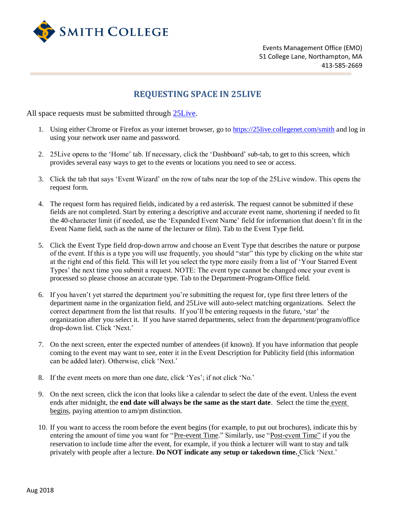

Events Management Office (EMO) 51 College Lane, Northampton, MA 413-585-2669

## **REQUESTING SPACE IN 25LIVE**

All space requests must be submitted through [25Live.](https://25live.collegenet.com/smith)

- 1. Using either Chrome or Firefox as your internet browser, go to<https://25live.collegenet.com/smith> and log in using your network user name and password.
- 2. 25Live opens to the 'Home' tab. If necessary, click the 'Dashboard' sub-tab, to get to this screen, which provides several easy ways to get to the events or locations you need to see or access.
- 3. Click the tab that says 'Event Wizard' on the row of tabs near the top of the 25Live window. This opens the request form.
- 4. The request form has required fields, indicated by a red asterisk. The request cannot be submitted if these fields are not completed. Start by entering a descriptive and accurate event name, shortening if needed to fit the 40-character limit (if needed, use the 'Expanded Event Name' field for information that doesn't fit in the Event Name field, such as the name of the lecturer or film). Tab to the Event Type field.
- 5. Click the Event Type field drop-down arrow and choose an Event Type that describes the nature or purpose of the event. If this is a type you will use frequently, you should "star" this type by clicking on the white star at the right end of this field. This will let you select the type more easily from a list of 'Your Starred Event Types' the next time you submit a request. NOTE: The event type cannot be changed once your event is processed so please choose an accurate type. Tab to the Department-Program-Office field.
- 6. If you haven't yet starred the department you're submitting the request for, type first three letters of the department name in the organization field, and 25Live will auto-select matching organizations. Select the correct department from the list that results. If you'll be entering requests in the future, 'star' the organization after you select it. If you have starred departments, select from the department/program/office drop-down list. Click 'Next.'
- 7. On the next screen, enter the expected number of attendees (if known). If you have information that people coming to the event may want to see, enter it in the Event Description for Publicity field (this information can be added later). Otherwise, click 'Next.'
- 8. If the event meets on more than one date, click 'Yes'; if not click 'No.'
- 9. On the next screen, click the icon that looks like a calendar to select the date of the event. Unless the event ends after midnight, the **end date will always be the same as the start date**. Select the time the event begins, paying attention to am/pm distinction.
- 10. If you want to access the room before the event begins (for example, to put out brochures), indicate this by entering the amount of time you want for "Pre-event Time." Similarly, use "Post-event Time" if you the reservation to include time after the event, for example, if you think a lecturer will want to stay and talk privately with people after a lecture. **Do NOT indicate any setup or takedown time.** Click 'Next.'